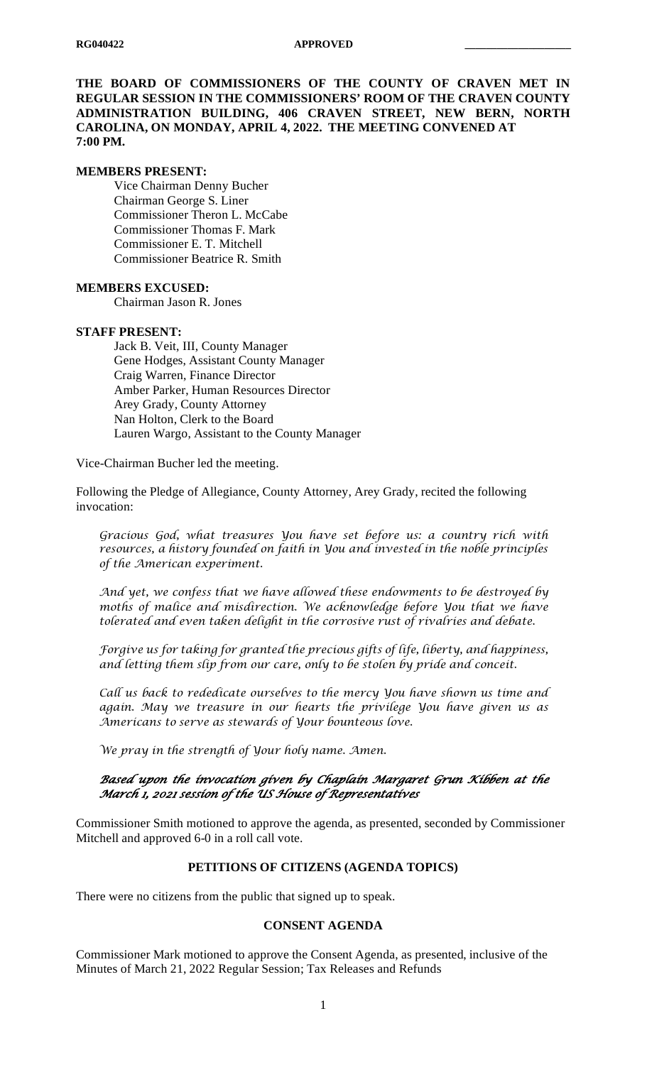**THE BOARD OF COMMISSIONERS OF THE COUNTY OF CRAVEN MET IN REGULAR SESSION IN THE COMMISSIONERS' ROOM OF THE CRAVEN COUNTY ADMINISTRATION BUILDING, 406 CRAVEN STREET, NEW BERN, NORTH CAROLINA, ON MONDAY, APRIL 4, 2022. THE MEETING CONVENED AT 7:00 PM.**

#### **MEMBERS PRESENT:**

Vice Chairman Denny Bucher Chairman George S. Liner Commissioner Theron L. McCabe Commissioner Thomas F. Mark Commissioner E. T. Mitchell Commissioner Beatrice R. Smith

#### **MEMBERS EXCUSED:**

Chairman Jason R. Jones

#### **STAFF PRESENT:**

Jack B. Veit, III, County Manager Gene Hodges, Assistant County Manager Craig Warren, Finance Director Amber Parker, Human Resources Director Arey Grady, County Attorney Nan Holton, Clerk to the Board Lauren Wargo, Assistant to the County Manager

Vice-Chairman Bucher led the meeting.

Following the Pledge of Allegiance, County Attorney, Arey Grady, recited the following invocation:

*Gracious God, what treasures You have set before us: a country rich with resources, a history founded on faith in You and invested in the noble principles of the American experiment.*

*And yet, we confess that we have allowed these endowments to be destroyed by moths of malice and misdirection. We acknowledge before You that we have tolerated and even taken delight in the corrosive rust of rivalries and debate.*

*Forgive us for taking for granted the precious gifts of life, liberty, and happiness, and letting them slip from our care, only to be stolen by pride and conceit.*

*Call us back to rededicate ourselves to the mercy You have shown us time and again. May we treasure in our hearts the privilege You have given us as Americans to serve as stewards of Your bounteous love.*

*We pray in the strength of Your holy name. Amen.*

# *Based upon the invocation given by Chaplain Margaret Grun Kibben at the March 1, 2021 session of the US House of Representatives*

Commissioner Smith motioned to approve the agenda, as presented, seconded by Commissioner Mitchell and approved 6-0 in a roll call vote.

#### **PETITIONS OF CITIZENS (AGENDA TOPICS)**

There were no citizens from the public that signed up to speak.

#### **CONSENT AGENDA**

Commissioner Mark motioned to approve the Consent Agenda, as presented, inclusive of the Minutes of March 21, 2022 Regular Session; Tax Releases and Refunds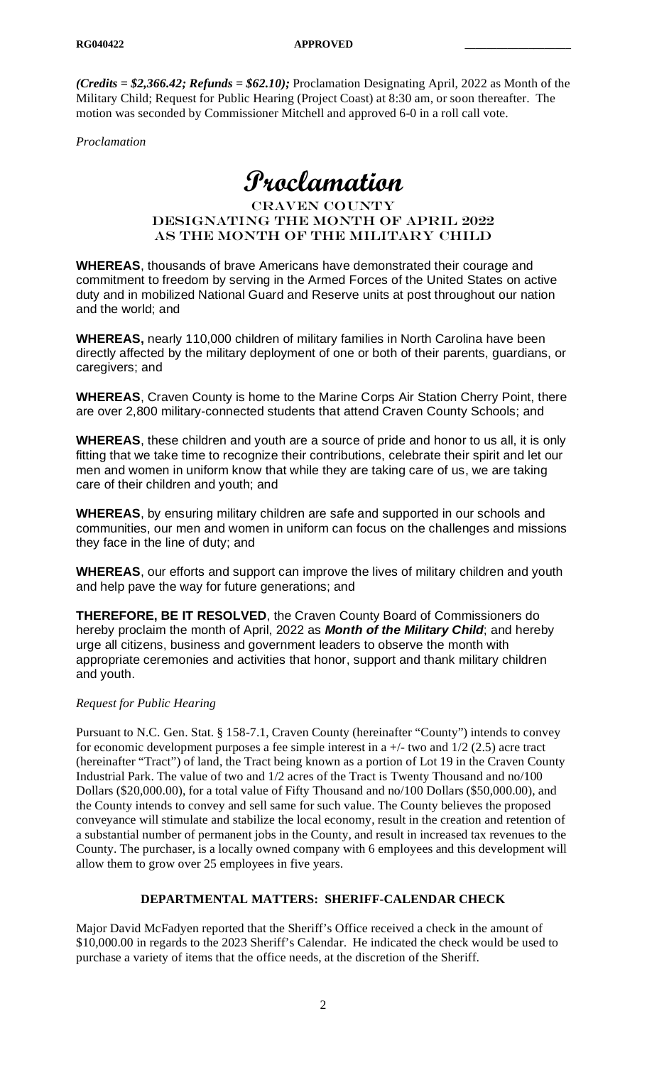*(Credits = \$2,366.42; Refunds = \$62.10);* Proclamation Designating April, 2022 as Month of the Military Child; Request for Public Hearing (Project Coast) at 8:30 am, or soon thereafter. The motion was seconded by Commissioner Mitchell and approved 6-0 in a roll call vote.

*Proclamation*

# **Proclamation**

### Craven County designating the month of April 2022 as THE MONTH OF THE MILITARY CHILD

**WHEREAS**, thousands of brave Americans have demonstrated their courage and commitment to freedom by serving in the Armed Forces of the United States on active duty and in mobilized National Guard and Reserve units at post throughout our nation and the world; and

**WHEREAS,** nearly 110,000 children of military families in North Carolina have been directly affected by the military deployment of one or both of their parents, guardians, or caregivers; and

**WHEREAS**, Craven County is home to the Marine Corps Air Station Cherry Point, there are over 2,800 military-connected students that attend Craven County Schools; and

**WHEREAS**, these children and youth are a source of pride and honor to us all, it is only fitting that we take time to recognize their contributions, celebrate their spirit and let our men and women in uniform know that while they are taking care of us, we are taking care of their children and youth; and

**WHEREAS**, by ensuring military children are safe and supported in our schools and communities, our men and women in uniform can focus on the challenges and missions they face in the line of duty; and

**WHEREAS**, our efforts and support can improve the lives of military children and youth and help pave the way for future generations; and

**THEREFORE, BE IT RESOLVED**, the Craven County Board of Commissioners do hereby proclaim the month of April, 2022 as *Month of the Military Child*; and hereby urge all citizens, business and government leaders to observe the month with appropriate ceremonies and activities that honor, support and thank military children and youth.

### *Request for Public Hearing*

Pursuant to N.C. Gen. Stat. § 158-7.1, Craven County (hereinafter "County") intends to convey for economic development purposes a fee simple interest in a  $+/-$  two and  $1/2$  (2.5) acre tract (hereinafter "Tract") of land, the Tract being known as a portion of Lot 19 in the Craven County Industrial Park. The value of two and 1/2 acres of the Tract is Twenty Thousand and no/100 Dollars (\$20,000.00), for a total value of Fifty Thousand and no/100 Dollars (\$50,000.00), and the County intends to convey and sell same for such value. The County believes the proposed conveyance will stimulate and stabilize the local economy, result in the creation and retention of a substantial number of permanent jobs in the County, and result in increased tax revenues to the County. The purchaser, is a locally owned company with 6 employees and this development will allow them to grow over 25 employees in five years.

### **DEPARTMENTAL MATTERS: SHERIFF-CALENDAR CHECK**

Major David McFadyen reported that the Sheriff's Office received a check in the amount of \$10,000.00 in regards to the 2023 Sheriff's Calendar. He indicated the check would be used to purchase a variety of items that the office needs, at the discretion of the Sheriff.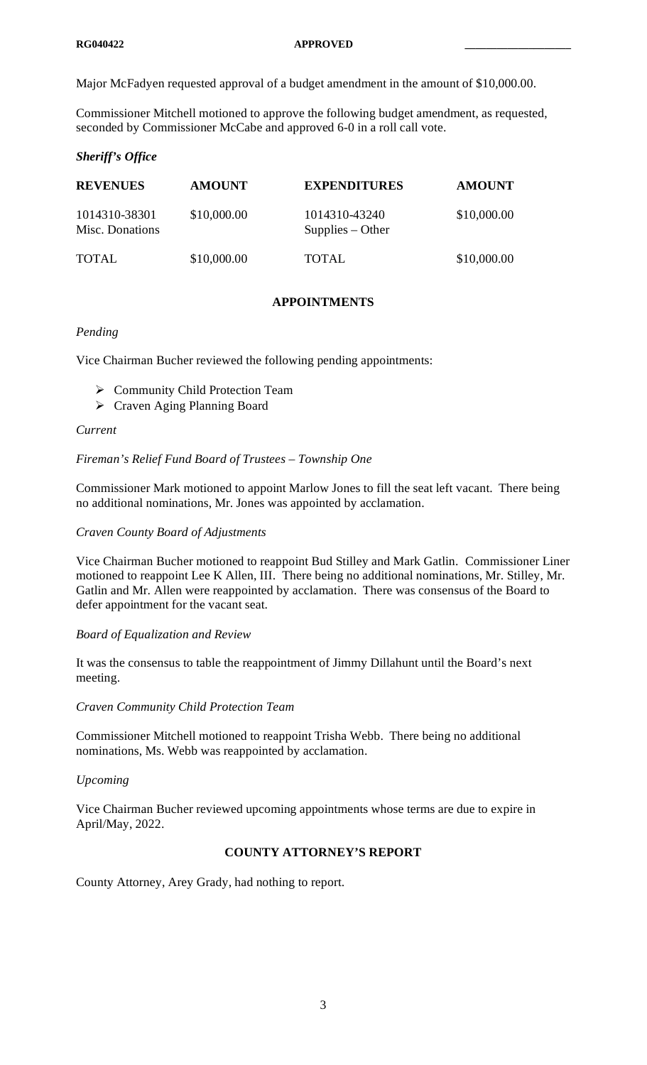Major McFadyen requested approval of a budget amendment in the amount of \$10,000.00.

Commissioner Mitchell motioned to approve the following budget amendment, as requested, seconded by Commissioner McCabe and approved 6-0 in a roll call vote.

# *Sheriff's Office*

| <b>REVENUES</b>                  | <b>AMOUNT</b> | <b>EXPENDITURES</b>                 | <b>AMOUNT</b> |
|----------------------------------|---------------|-------------------------------------|---------------|
| 1014310-38301<br>Misc. Donations | \$10,000.00   | 1014310-43240<br>$Supplies - Other$ | \$10,000.00   |
| <b>TOTAL</b>                     | \$10,000.00   | <b>TOTAL</b>                        | \$10,000.00   |

# **APPOINTMENTS**

# *Pending*

Vice Chairman Bucher reviewed the following pending appointments:

- ▶ Community Child Protection Team
- Craven Aging Planning Board

### *Current*

# *Fireman's Relief Fund Board of Trustees – Township One*

Commissioner Mark motioned to appoint Marlow Jones to fill the seat left vacant. There being no additional nominations, Mr. Jones was appointed by acclamation.

## *Craven County Board of Adjustments*

Vice Chairman Bucher motioned to reappoint Bud Stilley and Mark Gatlin. Commissioner Liner motioned to reappoint Lee K Allen, III. There being no additional nominations, Mr. Stilley, Mr. Gatlin and Mr. Allen were reappointed by acclamation. There was consensus of the Board to defer appointment for the vacant seat.

### *Board of Equalization and Review*

It was the consensus to table the reappointment of Jimmy Dillahunt until the Board's next meeting.

*Craven Community Child Protection Team*

Commissioner Mitchell motioned to reappoint Trisha Webb. There being no additional nominations, Ms. Webb was reappointed by acclamation.

# *Upcoming*

Vice Chairman Bucher reviewed upcoming appointments whose terms are due to expire in April/May, 2022.

# **COUNTY ATTORNEY'S REPORT**

County Attorney, Arey Grady, had nothing to report.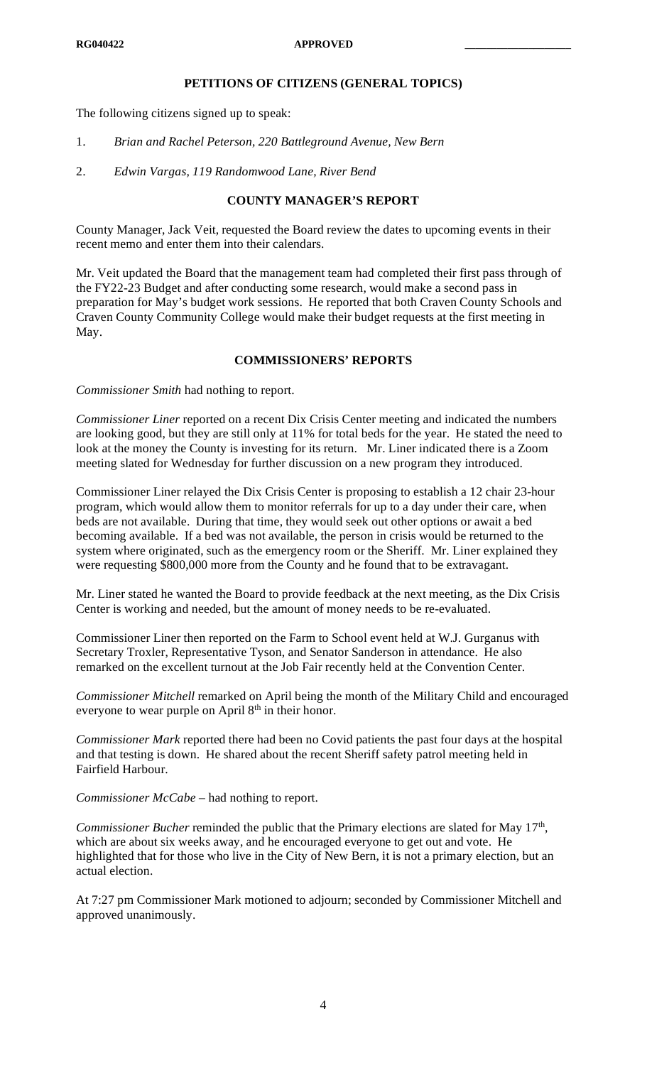#### **RG040422 APPROVED \_\_\_\_\_\_\_\_\_\_\_\_\_\_\_\_\_\_\_\_**

# **PETITIONS OF CITIZENS (GENERAL TOPICS)**

The following citizens signed up to speak:

- 1. *Brian and Rachel Peterson, 220 Battleground Avenue, New Bern*
- 2. *Edwin Vargas, 119 Randomwood Lane, River Bend*

# **COUNTY MANAGER'S REPORT**

County Manager, Jack Veit, requested the Board review the dates to upcoming events in their recent memo and enter them into their calendars.

Mr. Veit updated the Board that the management team had completed their first pass through of the FY22-23 Budget and after conducting some research, would make a second pass in preparation for May's budget work sessions. He reported that both Craven County Schools and Craven County Community College would make their budget requests at the first meeting in May.

# **COMMISSIONERS' REPORTS**

*Commissioner Smith* had nothing to report.

*Commissioner Liner* reported on a recent Dix Crisis Center meeting and indicated the numbers are looking good, but they are still only at 11% for total beds for the year. He stated the need to look at the money the County is investing for its return. Mr. Liner indicated there is a Zoom meeting slated for Wednesday for further discussion on a new program they introduced.

Commissioner Liner relayed the Dix Crisis Center is proposing to establish a 12 chair 23-hour program, which would allow them to monitor referrals for up to a day under their care, when beds are not available. During that time, they would seek out other options or await a bed becoming available. If a bed was not available, the person in crisis would be returned to the system where originated, such as the emergency room or the Sheriff. Mr. Liner explained they were requesting \$800,000 more from the County and he found that to be extravagant.

Mr. Liner stated he wanted the Board to provide feedback at the next meeting, as the Dix Crisis Center is working and needed, but the amount of money needs to be re-evaluated.

Commissioner Liner then reported on the Farm to School event held at W.J. Gurganus with Secretary Troxler, Representative Tyson, and Senator Sanderson in attendance. He also remarked on the excellent turnout at the Job Fair recently held at the Convention Center.

*Commissioner Mitchell* remarked on April being the month of the Military Child and encouraged everyone to wear purple on April 8<sup>th</sup> in their honor.

*Commissioner Mark* reported there had been no Covid patients the past four days at the hospital and that testing is down. He shared about the recent Sheriff safety patrol meeting held in Fairfield Harbour.

*Commissioner McCabe –* had nothing to report.

*Commissioner Bucher* reminded the public that the Primary elections are slated for May 17<sup>th</sup>, which are about six weeks away, and he encouraged everyone to get out and vote. He highlighted that for those who live in the City of New Bern, it is not a primary election, but an actual election.

At 7:27 pm Commissioner Mark motioned to adjourn; seconded by Commissioner Mitchell and approved unanimously.